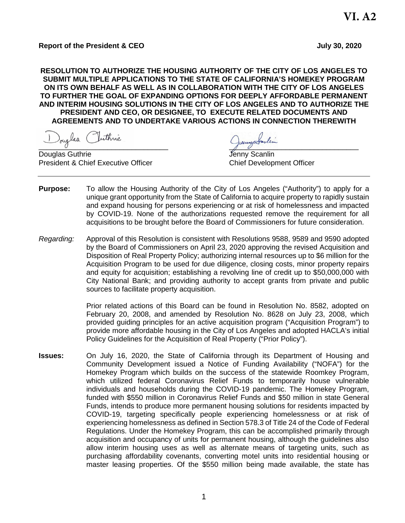# **Report of the President & CEO July 30, 2020**

**RESOLUTION TO AUTHORIZE THE HOUSING AUTHORITY OF THE CITY OF LOS ANGELES TO SUBMIT MULTIPLE APPLICATIONS TO THE STATE OF CALIFORNIA'S HOMEKEY PROGRAM ON ITS OWN BEHALF AS WELL AS IN COLLABORATION WITH THE CITY OF LOS ANGELES TO FURTHER THE GOAL OF EXPANDING OPTIONS FOR DEEPLY AFFORDABLE PERMANENT AND INTERIM HOUSING SOLUTIONS IN THE CITY OF LOS ANGELES AND TO AUTHORIZE THE PRESIDENT AND CEO, OR DESIGNEE, TO EXECUTE RELATED DOCUMENTS AND AGREEMENTS AND TO UNDERTAKE VARIOUS ACTIONS IN CONNECTION THEREWITH**

Douglas Juthnie<br>Jouglas Guthrie Guthnie

Douglas Guthrie President & Chief Executive Officer Chief Development Officer

- **Purpose:** To allow the Housing Authority of the City of Los Angeles ("Authority") to apply for a unique grant opportunity from the State of California to acquire property to rapidly sustain and expand housing for persons experiencing or at risk of homelessness and impacted by COVID-19. None of the authorizations requested remove the requirement for all acquisitions to be brought before the Board of Commissioners for future consideration.
- *Regarding:* Approval of this Resolution is consistent with Resolutions 9588, 9589 and 9590 adopted by the Board of Commissioners on April 23, 2020 approving the revised Acquisition and Disposition of Real Property Policy; authorizing internal resources up to \$6 million for the Acquisition Program to be used for due diligence, closing costs, minor property repairs and equity for acquisition; establishing a revolving line of credit up to \$50,000,000 with City National Bank; and providing authority to accept grants from private and public sources to facilitate property acquisition.

Prior related actions of this Board can be found in Resolution No. 8582, adopted on February 20, 2008, and amended by Resolution No. 8628 on July 23, 2008, which provided guiding principles for an active acquisition program ("Acquisition Program") to provide more affordable housing in the City of Los Angeles and adopted HACLA's initial Policy Guidelines for the Acquisition of Real Property ("Prior Policy").

**Issues:** On July 16, 2020, the State of California through its Department of Housing and Community Development issued a Notice of Funding Availability ("NOFA") for the Homekey Program which builds on the success of the statewide Roomkey Program, which utilized federal Coronavirus Relief Funds to temporarily house vulnerable individuals and households during the COVID-19 pandemic. The Homekey Program, funded with \$550 million in Coronavirus Relief Funds and \$50 million in state General Funds, intends to produce more permanent housing solutions for residents impacted by COVID-19, targeting specifically people experiencing homelessness or at risk of experiencing homelessness as defined in Section 578.3 of Title 24 of the Code of Federal Regulations. Under the Homekey Program, this can be accomplished primarily through acquisition and occupancy of units for permanent housing, although the guidelines also allow interim housing uses as well as alternate means of targeting units, such as purchasing affordability covenants, converting motel units into residential housing or master leasing properties. Of the \$550 million being made available, the state has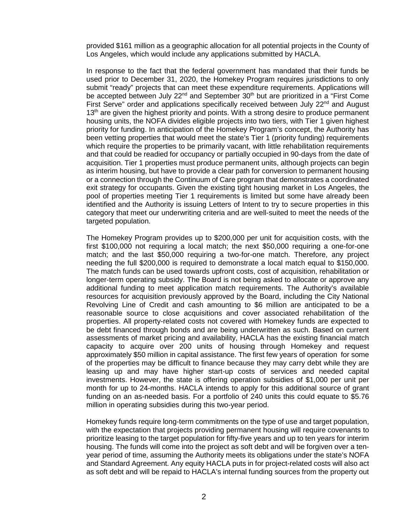provided \$161 million as a geographic allocation for all potential projects in the County of Los Angeles, which would include any applications submitted by HACLA.

In response to the fact that the federal government has mandated that their funds be used prior to December 31, 2020, the Homekey Program requires jurisdictions to only submit "ready" projects that can meet these expenditure requirements. Applications will be accepted between July 22<sup>nd</sup> and September 30<sup>th</sup> but are prioritized in a "First Come First Serve" order and applications specifically received between July 22<sup>nd</sup> and August  $13<sup>th</sup>$  are given the highest priority and points. With a strong desire to produce permanent housing units, the NOFA divides eligible projects into two tiers, with Tier 1 given highest priority for funding. In anticipation of the Homekey Program's concept, the Authority has been vetting properties that would meet the state's Tier 1 (priority funding) requirements which require the properties to be primarily vacant, with little rehabilitation requirements and that could be readied for occupancy or partially occupied in 90-days from the date of acquisition. Tier 1 properties must produce permanent units, although projects can begin as interim housing, but have to provide a clear path for conversion to permanent housing or a connection through the Continuum of Care program that demonstrates a coordinated exit strategy for occupants. Given the existing tight housing market in Los Angeles, the pool of properties meeting Tier 1 requirements is limited but some have already been identified and the Authority is issuing Letters of Intent to try to secure properties in this category that meet our underwriting criteria and are well-suited to meet the needs of the targeted population.

The Homekey Program provides up to \$200,000 per unit for acquisition costs, with the first \$100,000 not requiring a local match; the next \$50,000 requiring a one-for-one match; and the last \$50,000 requiring a two-for-one match. Therefore, any project needing the full \$200,000 is required to demonstrate a local match equal to \$150,000. The match funds can be used towards upfront costs, cost of acquisition, rehabilitation or longer-term operating subsidy. The Board is not being asked to allocate or approve any additional funding to meet application match requirements. The Authority's available resources for acquisition previously approved by the Board, including the City National Revolving Line of Credit and cash amounting to \$6 million are anticipated to be a reasonable source to close acquisitions and cover associated rehabilitation of the properties. All property-related costs not covered with Homekey funds are expected to be debt financed through bonds and are being underwritten as such. Based on current assessments of market pricing and availability, HACLA has the existing financial match capacity to acquire over 200 units of housing through Homekey and request approximately \$50 million in capital assistance. The first few years of operation for some of the properties may be difficult to finance because they may carry debt while they are leasing up and may have higher start-up costs of services and needed capital investments. However, the state is offering operation subsidies of \$1,000 per unit per month for up to 24-months. HACLA intends to apply for this additional source of grant funding on an as-needed basis. For a portfolio of 240 units this could equate to \$5.76 million in operating subsidies during this two-year period.

Homekey funds require long-term commitments on the type of use and target population, with the expectation that projects providing permanent housing will require covenants to prioritize leasing to the target population for fifty-five years and up to ten years for interim housing. The funds will come into the project as soft debt and will be forgiven over a tenyear period of time, assuming the Authority meets its obligations under the state's NOFA and Standard Agreement. Any equity HACLA puts in for project-related costs will also act as soft debt and will be repaid to HACLA's internal funding sources from the property out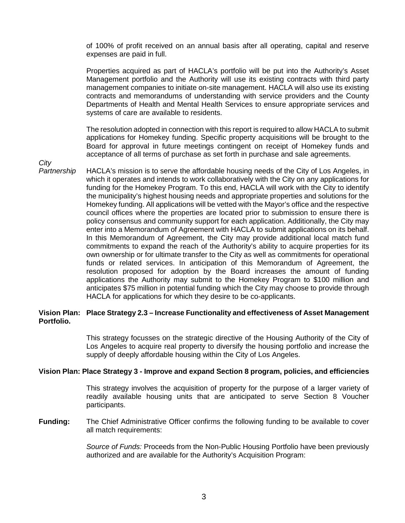of 100% of profit received on an annual basis after all operating, capital and reserve expenses are paid in full.

Properties acquired as part of HACLA's portfolio will be put into the Authority's Asset Management portfolio and the Authority will use its existing contracts with third party management companies to initiate on-site management. HACLA will also use its existing contracts and memorandums of understanding with service providers and the County Departments of Health and Mental Health Services to ensure appropriate services and systems of care are available to residents.

The resolution adopted in connection with this report is required to allow HACLA to submit applications for Homekey funding. Specific property acquisitions will be brought to the Board for approval in future meetings contingent on receipt of Homekey funds and acceptance of all terms of purchase as set forth in purchase and sale agreements.

*City* 

*Partnership* HACLA's mission is to serve the affordable housing needs of the City of Los Angeles, in which it operates and intends to work collaboratively with the City on any applications for funding for the Homekey Program. To this end, HACLA will work with the City to identify the municipality's highest housing needs and appropriate properties and solutions for the Homekey funding. All applications will be vetted with the Mayor's office and the respective council offices where the properties are located prior to submission to ensure there is policy consensus and community support for each application. Additionally, the City may enter into a Memorandum of Agreement with HACLA to submit applications on its behalf. In this Memorandum of Agreement, the City may provide additional local match fund commitments to expand the reach of the Authority's ability to acquire properties for its own ownership or for ultimate transfer to the City as well as commitments for operational funds or related services. In anticipation of this Memorandum of Agreement, the resolution proposed for adoption by the Board increases the amount of funding applications the Authority may submit to the Homekey Program to \$100 million and anticipates \$75 million in potential funding which the City may choose to provide through HACLA for applications for which they desire to be co-applicants.

# **Vision Plan: Place Strategy 2.3 – Increase Functionality and effectiveness of Asset Management Portfolio.**

This strategy focusses on the strategic directive of the Housing Authority of the City of Los Angeles to acquire real property to diversify the housing portfolio and increase the supply of deeply affordable housing within the City of Los Angeles.

### **Vision Plan: Place Strategy 3 - Improve and expand Section 8 program, policies, and efficiencies**

This strategy involves the acquisition of property for the purpose of a larger variety of readily available housing units that are anticipated to serve Section 8 Voucher participants.

**Funding:** The Chief Administrative Officer confirms the following funding to be available to cover all match requirements:

> *Source of Funds:* Proceeds from the Non-Public Housing Portfolio have been previously authorized and are available for the Authority's Acquisition Program: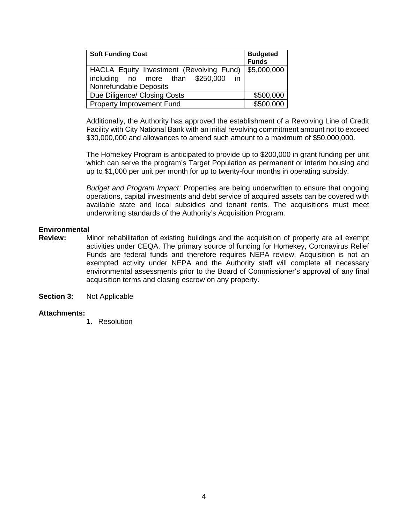| <b>Soft Funding Cost</b>                                                                                 | <b>Budgeted</b><br><b>Funds</b> |
|----------------------------------------------------------------------------------------------------------|---------------------------------|
| HACLA Equity Investment (Revolving Fund)<br>including no more than \$250,000<br>$\overline{\mathsf{in}}$ | \$5,000,000                     |
| <b>Nonrefundable Deposits</b>                                                                            |                                 |
| Due Diligence/ Closing Costs                                                                             | \$500,000                       |
| <b>Property Improvement Fund</b>                                                                         | \$500,000                       |

Additionally, the Authority has approved the establishment of a Revolving Line of Credit Facility with City National Bank with an initial revolving commitment amount not to exceed \$30,000,000 and allowances to amend such amount to a maximum of \$50,000,000.

The Homekey Program is anticipated to provide up to \$200,000 in grant funding per unit which can serve the program's Target Population as permanent or interim housing and up to \$1,000 per unit per month for up to twenty-four months in operating subsidy.

*Budget and Program Impact:* Properties are being underwritten to ensure that ongoing operations, capital investments and debt service of acquired assets can be covered with available state and local subsidies and tenant rents. The acquisitions must meet underwriting standards of the Authority's Acquisition Program.

### **Environmental**

- **Review:** Minor rehabilitation of existing buildings and the acquisition of property are all exempt activities under CEQA. The primary source of funding for Homekey, Coronavirus Relief Funds are federal funds and therefore requires NEPA review. Acquisition is not an exempted activity under NEPA and the Authority staff will complete all necessary environmental assessments prior to the Board of Commissioner's approval of any final acquisition terms and closing escrow on any property.
- **Section 3:** Not Applicable

#### **Attachments:**

**1.** Resolution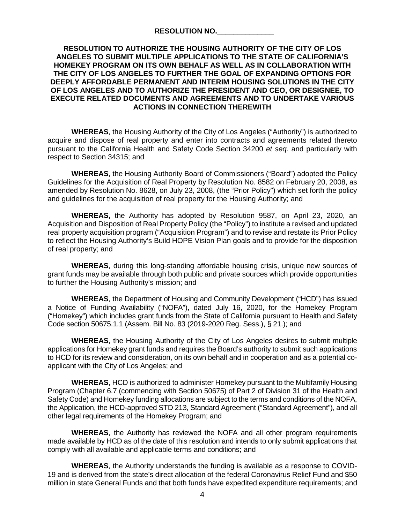| <b>RESOLUTION NO.</b> |  |
|-----------------------|--|
|                       |  |

# **RESOLUTION TO AUTHORIZE THE HOUSING AUTHORITY OF THE CITY OF LOS ANGELES TO SUBMIT MULTIPLE APPLICATIONS TO THE STATE OF CALIFORNIA'S HOMEKEY PROGRAM ON ITS OWN BEHALF AS WELL AS IN COLLABORATION WITH THE CITY OF LOS ANGELES TO FURTHER THE GOAL OF EXPANDING OPTIONS FOR DEEPLY AFFORDABLE PERMANENT AND INTERIM HOUSING SOLUTIONS IN THE CITY OF LOS ANGELES AND TO AUTHORIZE THE PRESIDENT AND CEO, OR DESIGNEE, TO EXECUTE RELATED DOCUMENTS AND AGREEMENTS AND TO UNDERTAKE VARIOUS ACTIONS IN CONNECTION THEREWITH**

**WHEREAS**, the Housing Authority of the City of Los Angeles ("Authority") is authorized to acquire and dispose of real property and enter into contracts and agreements related thereto pursuant to the California Health and Safety Code Section 34200 *et seq*. and particularly with respect to Section 34315; and

**WHEREAS**, the Housing Authority Board of Commissioners ("Board") adopted the Policy Guidelines for the Acquisition of Real Property by Resolution No. 8582 on February 20, 2008, as amended by Resolution No. 8628, on July 23, 2008, (the "Prior Policy") which set forth the policy and guidelines for the acquisition of real property for the Housing Authority; and

**WHEREAS,** the Authority has adopted by Resolution 9587, on April 23, 2020, an Acquisition and Disposition of Real Property Policy (the "Policy") to institute a revised and updated real property acquisition program ("Acquisition Program") and to revise and restate its Prior Policy to reflect the Housing Authority's Build HOPE Vision Plan goals and to provide for the disposition of real property; and

**WHEREAS**, during this long-standing affordable housing crisis, unique new sources of grant funds may be available through both public and private sources which provide opportunities to further the Housing Authority's mission; and

**WHEREAS**, the Department of Housing and Community Development ("HCD") has issued a Notice of Funding Availability ("NOFA"), dated July 16, 2020, for the Homekey Program ("Homekey") which includes grant funds from the State of California pursuant to Health and Safety Code section 50675.1.1 (Assem. Bill No. 83 (2019-2020 Reg. Sess.), § 21.); and

**WHEREAS**, the Housing Authority of the City of Los Angeles desires to submit multiple applications for Homekey grant funds and requires the Board's authority to submit such applications to HCD for its review and consideration, on its own behalf and in cooperation and as a potential coapplicant with the City of Los Angeles; and

**WHEREAS**, HCD is authorized to administer Homekey pursuant to the Multifamily Housing Program (Chapter 6.7 (commencing with Section 50675) of Part 2 of Division 31 of the Health and Safety Code) and Homekey funding allocations are subject to the terms and conditions of the NOFA, the Application, the HCD-approved STD 213, Standard Agreement ("Standard Agreement"), and all other legal requirements of the Homekey Program; and

**WHEREAS**, the Authority has reviewed the NOFA and all other program requirements made available by HCD as of the date of this resolution and intends to only submit applications that comply with all available and applicable terms and conditions; and

**WHEREAS**, the Authority understands the funding is available as a response to COVID-19 and is derived from the state's direct allocation of the federal Coronavirus Relief Fund and \$50 million in state General Funds and that both funds have expedited expenditure requirements; and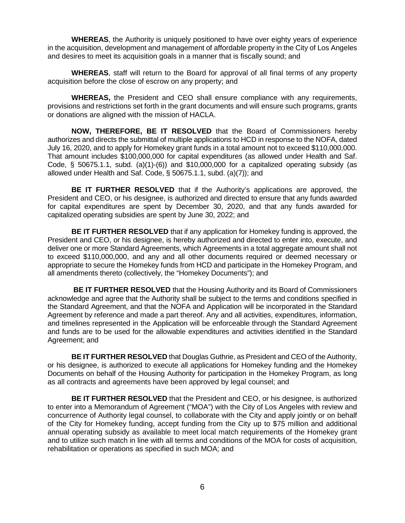**WHEREAS**, the Authority is uniquely positioned to have over eighty years of experience in the acquisition, development and management of affordable property in the City of Los Angeles and desires to meet its acquisition goals in a manner that is fiscally sound; and

**WHEREAS**, staff will return to the Board for approval of all final terms of any property acquisition before the close of escrow on any property; and

**WHEREAS,** the President and CEO shall ensure compliance with any requirements, provisions and restrictions set forth in the grant documents and will ensure such programs, grants or donations are aligned with the mission of HACLA.

**NOW, THEREFORE, BE IT RESOLVED** that the Board of Commissioners hereby authorizes and directs the submittal of multiple applications to HCD in response to the NOFA, dated July 16, 2020, and to apply for Homekey grant funds in a total amount not to exceed \$110,000,000. That amount includes \$100,000,000 for capital expenditures (as allowed under Health and Saf. Code,  $\S$  50675.1.1, subd. (a)(1)-(6)) and \$10,000,000 for a capitalized operating subsidy (as allowed under Health and Saf. Code, § 50675.1.1, subd. (a)(7)); and

**BE IT FURTHER RESOLVED** that if the Authority's applications are approved, the President and CEO, or his designee, is authorized and directed to ensure that any funds awarded for capital expenditures are spent by December 30, 2020, and that any funds awarded for capitalized operating subsidies are spent by June 30, 2022; and

**BE IT FURTHER RESOLVED** that if any application for Homekey funding is approved, the President and CEO, or his designee, is hereby authorized and directed to enter into, execute, and deliver one or more Standard Agreements, which Agreements in a total aggregate amount shall not to exceed \$110,000,000, and any and all other documents required or deemed necessary or appropriate to secure the Homekey funds from HCD and participate in the Homekey Program, and all amendments thereto (collectively, the "Homekey Documents"); and

**BE IT FURTHER RESOLVED** that the Housing Authority and its Board of Commissioners acknowledge and agree that the Authority shall be subject to the terms and conditions specified in the Standard Agreement, and that the NOFA and Application will be incorporated in the Standard Agreement by reference and made a part thereof. Any and all activities, expenditures, information, and timelines represented in the Application will be enforceable through the Standard Agreement and funds are to be used for the allowable expenditures and activities identified in the Standard Agreement; and

**BE IT FURTHER RESOLVED** that Douglas Guthrie, as President and CEO of the Authority, or his designee, is authorized to execute all applications for Homekey funding and the Homekey Documents on behalf of the Housing Authority for participation in the Homekey Program, as long as all contracts and agreements have been approved by legal counsel; and

**BE IT FURTHER RESOLVED** that the President and CEO, or his designee, is authorized to enter into a Memorandum of Agreement ("MOA") with the City of Los Angeles with review and concurrence of Authority legal counsel, to collaborate with the City and apply jointly or on behalf of the City for Homekey funding, accept funding from the City up to \$75 million and additional annual operating subsidy as available to meet local match requirements of the Homekey grant and to utilize such match in line with all terms and conditions of the MOA for costs of acquisition, rehabilitation or operations as specified in such MOA; and